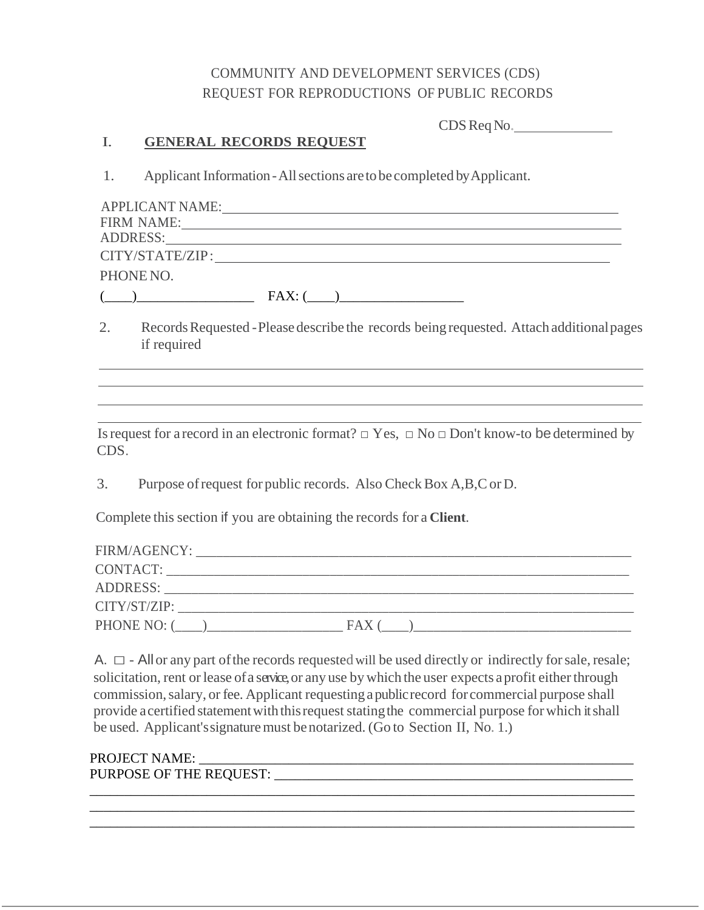## COMMUNITY AND DEVELOPMENT SERVICES (CDS) REQUEST FOR REPRODUCTIONS OF PUBLIC RECORDS

| CDS Req No. |  |
|-------------|--|
|-------------|--|

#### I. **GENERAL RECORDS REQUEST**

1. Applicant Information-Allsections aretobe completed byApplicant.

| <b>APPLICANT NAME:</b> |         |
|------------------------|---------|
| <b>FIRM NAME:</b>      |         |
| <b>ADDRESS:</b>        |         |
| CITY/STATE/ZIP:        |         |
| PHONE NO.              |         |
|                        | $FAX$ . |

2. Records Requested - Please describe the records being requested. Attach additional pages if required

Is request for a record in an electronic format?  $\Box$  Yes,  $\Box$  No  $\Box$  Don't know-to be determined by CDS.

3. Purpose of request for public records. Also Check Box A, B, C or D.

Complete this section if you are obtaining the records for a **Client**.

| FIRM/AGENCY:    |      |  |
|-----------------|------|--|
| CONTACT:        |      |  |
| <b>ADDRESS:</b> |      |  |
| CITY/ST/ZIP:    |      |  |
| PHONE NO: 0     | FA X |  |

A.  $\square$  - All or any part of the records requested will be used directly or indirectly for sale, resale; solicitation, rent or lease of a service, or any use by which the user expects a profit either through commission, salary, or fee. Applicant requesting a public record for commercial purpose shall provide a certified statement with this request stating the commercial purpose for which it shall be used. Applicant'ssignaturemust benotarized. (Go to Section II, No. 1.)

\_\_\_\_\_\_\_\_\_\_\_\_\_\_\_\_\_\_\_\_\_\_\_\_\_\_\_\_\_\_\_\_\_\_\_\_\_\_\_\_\_\_\_\_\_\_\_\_\_\_\_\_\_\_\_\_\_\_\_\_\_\_\_\_\_\_\_\_\_\_\_\_\_\_\_\_\_\_\_

\_\_\_\_\_\_\_\_\_\_\_\_\_\_\_\_\_\_\_\_\_\_\_\_\_\_\_\_\_\_\_\_\_\_\_\_\_\_\_\_\_\_\_\_\_\_\_\_\_\_\_\_\_\_\_\_\_\_\_\_\_\_\_\_\_\_\_\_\_\_\_\_\_\_\_\_\_\_\_

# PROJECT NAME: \_\_\_\_\_\_\_\_\_\_\_\_\_\_\_\_\_\_\_\_\_\_\_\_\_\_\_\_\_\_\_\_\_\_\_\_\_\_\_\_\_\_\_\_\_\_\_\_\_\_\_\_\_\_\_\_\_\_\_\_\_\_\_

PURPOSE OF THE REQUEST: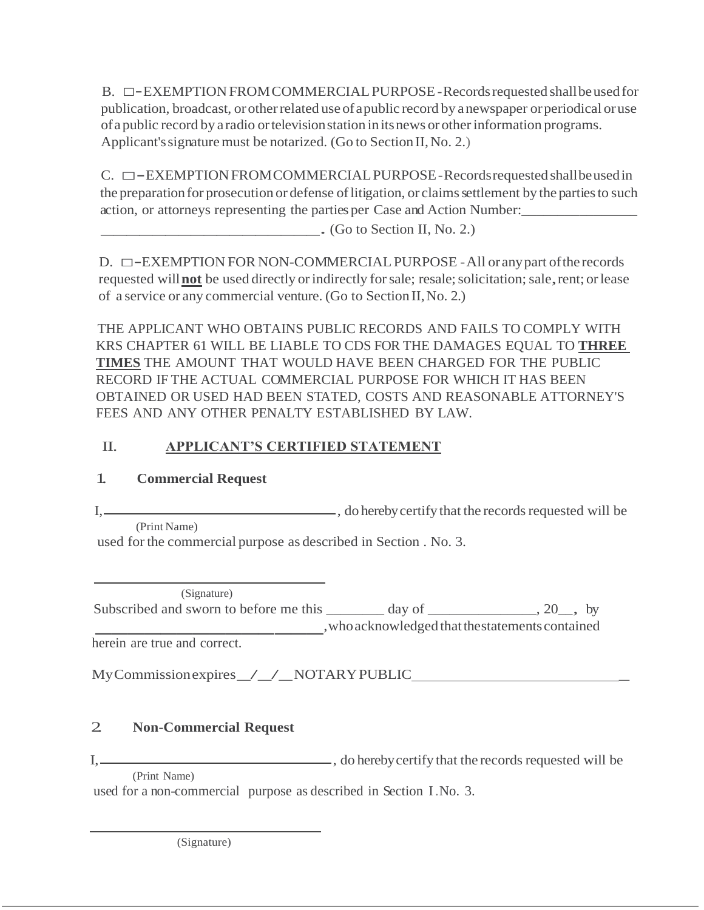B. □-EXEMPTION FROM COMMERCIAL PURPOSE - Records requested shall be used for publication, broadcast, orotherrelated use ofapublic record by anewspaper orperiodical oruse ofapublic record by a radio ortelevisionstation initsnews orotherinformation programs. Applicant's signature must be notarized. (Go to Section II, No. 2.)

C. □-EXEMPTIONFROMCOMMERCIALPURPOSE-Records requested shall be used in the preparation for prosecution or defense of litigation, or claims settlement by the parties to such action, or attorneys representing the parties per Case and Action Number:\_\_\_\_\_\_\_\_\_\_\_\_\_\_\_\_

 $\overline{\phantom{a}}$ . (Go to Section II, No. 2.)

 $D. \Box$  -EXEMPTION FOR NON-COMMERCIAL PURPOSE - All or any part of the records requested will **not** be used directly or indirectly for sale; resale; solicitation; sale, rent; or lease of a service or any commercial venture. (Go to Section II,No. 2.)

THE APPLICANT WHO OBTAINS PUBLIC RECORDS AND FAILS TO COMPLY WITH KRS CHAPTER 61 WILL BE LIABLE TO CDS FOR THE DAMAGES EQUAL TO **THREE TIMES** THE AMOUNT THAT WOULD HAVE BEEN CHARGED FOR THE PUBLIC RECORD IF THE ACTUAL COMMERCIAL PURPOSE FOR WHICH IT HAS BEEN OBTAINED OR USED HAD BEEN STATED, COSTS AND REASONABLE ATTORNEY'S FEES AND ANY OTHER PENALTY ESTABLISHED BY LAW.

# II. **APPLICANT'S CERTIFIED STATEMENT**

# 1. **Commercial Request**

I, , do herebycertify that the recordsrequested will be (Print Name)

used for the commercial purpose as described in Section . No. 3.

subscribed and sworn to before me this <br>herein are true and correct. (Signature) Subscribed and sworn to before me this  $\qquad \qquad$  day of  $\qquad \qquad$ , 20, by ,whoacknowledged thatthestatementscontained

MyCommissionexpires\_/\_/\_NOTARYPUBLIC \_

# 2. **Non-Commercial Request**

I, , do herebycertify that the recordsrequested will be (Print Name)

used for a non-commercial purpose as described in Section I.No. 3.

(Signature)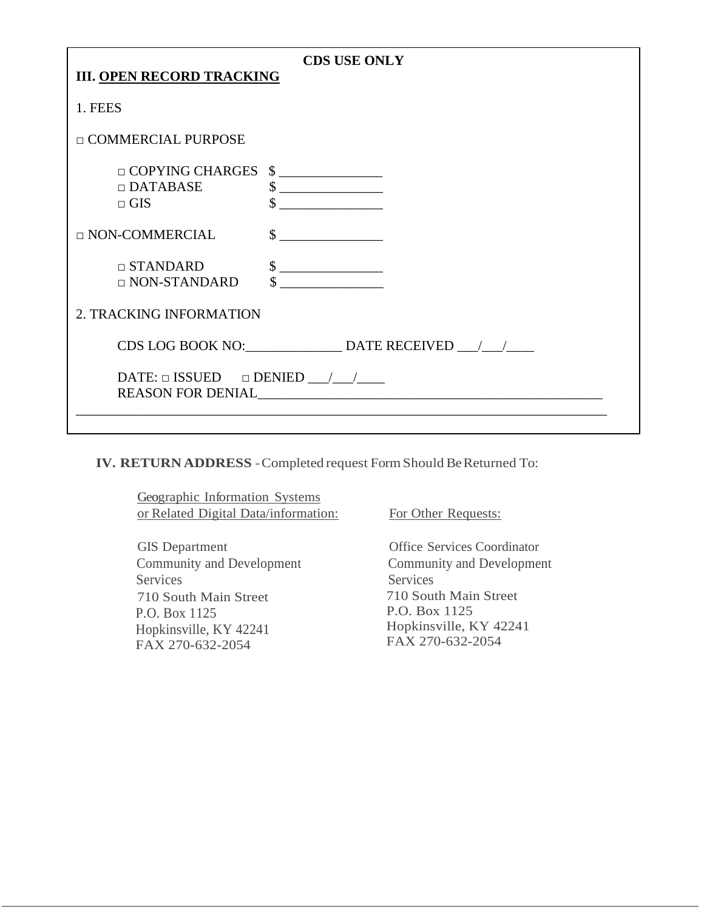| <b>CDS USE ONLY</b>                                                              |                                              |  |
|----------------------------------------------------------------------------------|----------------------------------------------|--|
| <b>III. OPEN RECORD TRACKING</b>                                                 |                                              |  |
| 1. FEES                                                                          |                                              |  |
| □ COMMERCIAL PURPOSE                                                             |                                              |  |
| $\Box$ COPYING CHARGES $\quad \quad \text{S}$<br>$\Box$ DATABASE<br>$\sqcap$ GIS | $\frac{1}{2}$<br><u> 1989 - Andrea State</u> |  |
| $\Box$ NON-COMMERCIAL                                                            | $\sim$                                       |  |
| $\Box$ STANDARD<br>$\Box$ NON-STANDARD                                           | $\frac{1}{1}$                                |  |
| 2. TRACKING INFORMATION                                                          |                                              |  |
| CDS LOG BOOK NO: DATE RECEIVED / /                                               |                                              |  |
| REASON FOR DENIAL                                                                |                                              |  |
|                                                                                  |                                              |  |

**IV. RETURN ADDRESS** -Completed request FormShould BeReturned To:

Geographic Information Systems or Related Digital Data/information: For Other Requests:

GIS Department Community and Development Services 710 South Main Street P.O. Box 1125 Hopkinsville, KY 42241 FAX 270-632-2054

Office Services Coordinator Community and Development Services 710 South Main Street P.O. Box 1125 Hopkinsville, KY 42241 FAX 270-632-2054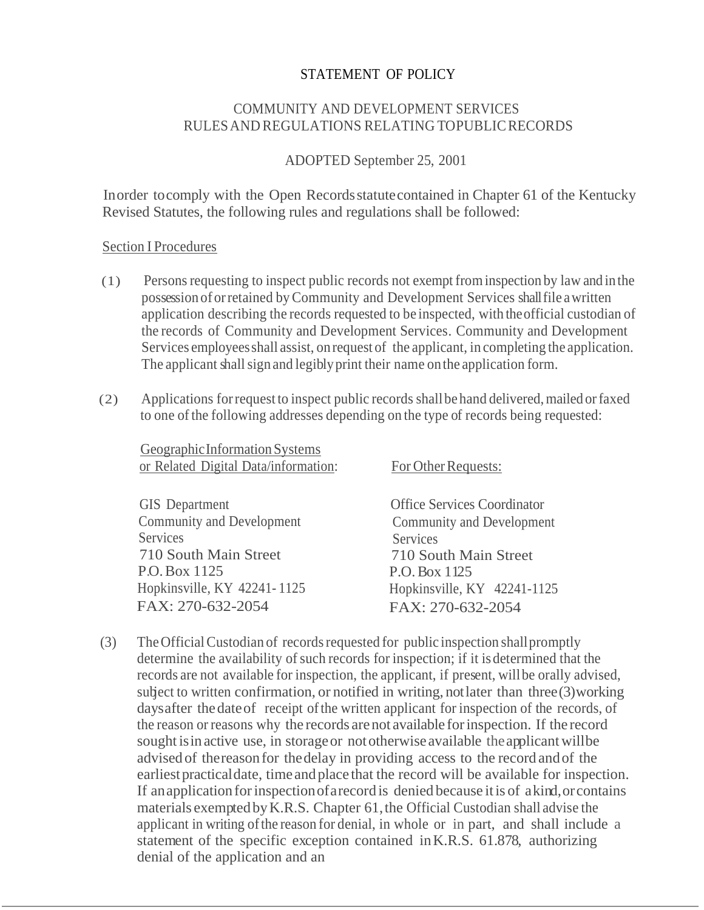#### STATEMENT OF POLICY

## COMMUNITY AND DEVELOPMENT SERVICES RULESAND REGULATIONS RELATING TOPUBLICRECORDS

#### ADOPTED September 25, 2001

Inorder tocomply with the Open Recordsstatutecontained in Chapter 61 of the Kentucky Revised Statutes, the following rules and regulations shall be followed:

#### Section I Procedures

- (1) Personsrequesting to inspect public records not exempt frominspection by law and in the possession oforretained byCommunity and Development Services shallfile awritten application describing the records requested to be inspected, with theofficial custodian of the records of Community and Development Services. Community and Development Services employeesshall assist, on request of the applicant, in completing the application. The applicant shall sign and legibly print their name on the application form.
- (2) Applications forrequest to inspect public records shallbe hand delivered,mailed orfaxed to one ofthe following addresses depending on the type of records being requested:

GeographicInformationSystems or Related Digital Data/information: For Other Requests:

GIS Department Community and Development **Services** 710 South Main Street P.O.Box 1125 Hopkinsville, KY 42241- 1125 FAX: 270-632-2054

Office Services Coordinator Community and Development **Services** 710 South Main Street P.O.Box 1125 Hopkinsville, KY 42241-1125 FAX: 270-632-2054

(3) The Official Custodian of records requested for public inspection shall promptly determine the availability of such records for inspection; if it is determined that the records are not available for inspection, the applicant, if present, willbe orally advised, subject to written confirmation, or notified in writing, notlater than three(3)working daysafter thedateof receipt ofthe written applicant for inspection of the records, of the reason orreasons why the records arenot available forinspection. If the record sought isin active use, in storageor nototherwise available theapplicantwillbe advised of thereasonfor thedelay in providing access to the record andof the earliestpracticaldate, time andplace that the record will be available for inspection. If an application for inspection of a record is denied because it is of a kind, or contains materials exempted by K.R.S. Chapter 61, the Official Custodian shall advise the applicant in writing ofthe reason for denial, in whole or in part, and shall include a statement of the specific exception contained inK.R.S. 61.878, authorizing denial of the application and an